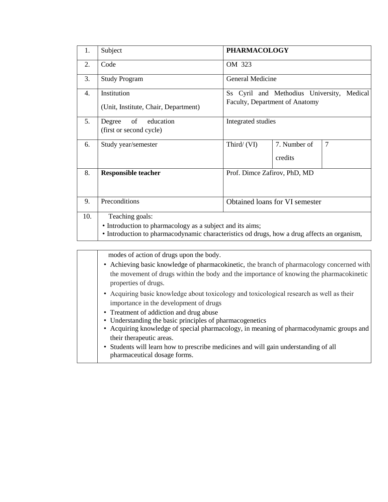| 1.  | Subject                                                                                                                                                                     | <b>PHARMACOLOGY</b>                                                             |                         |        |  |  |
|-----|-----------------------------------------------------------------------------------------------------------------------------------------------------------------------------|---------------------------------------------------------------------------------|-------------------------|--------|--|--|
| 2.  | Code                                                                                                                                                                        | OM 323                                                                          |                         |        |  |  |
| 3.  | <b>Study Program</b>                                                                                                                                                        | General Medicine                                                                |                         |        |  |  |
| 4.  | Institution<br>(Unit, Institute, Chair, Department)                                                                                                                         | Ss Cyril and Methodius University,<br>Medical<br>Faculty, Department of Anatomy |                         |        |  |  |
| 5.  | of<br>education<br>Degree<br>(first or second cycle)                                                                                                                        | Integrated studies                                                              |                         |        |  |  |
| 6.  | Study year/semester                                                                                                                                                         | Third/ (VI)                                                                     | 7. Number of<br>credits | $\tau$ |  |  |
| 8.  | <b>Responsible teacher</b>                                                                                                                                                  | Prof. Dimce Zafirov, PhD, MD                                                    |                         |        |  |  |
| 9.  | Preconditions                                                                                                                                                               | Obtained loans for VI semester                                                  |                         |        |  |  |
| 10. | Teaching goals:<br>• Introduction to pharmacology as a subject and its aims;<br>• Introduction to pharmacodynamic characteristics od drugs, how a drug affects an organism, |                                                                                 |                         |        |  |  |

modes of action of drugs upon the body.

- Achieving basic knowledge of pharmacokinetic, the branch of pharmacology concerned with the movement of drugs within the body and the importance of knowing the pharmacokinetic properties of drugs.
- Аcquiring basic knowledge about toxicology and toxicological research as well as their importance in the development of drugs
- Treatment of addiction and drug abuse
- Understanding the basic principles of pharmacogenetics
- Acquiring knowledge of special pharmacology, in meaning of pharmacodynamic groups and their therapeutic areas.
- Students will learn how to prescribe medicines and will gain understanding of all pharmaceutical dosage forms.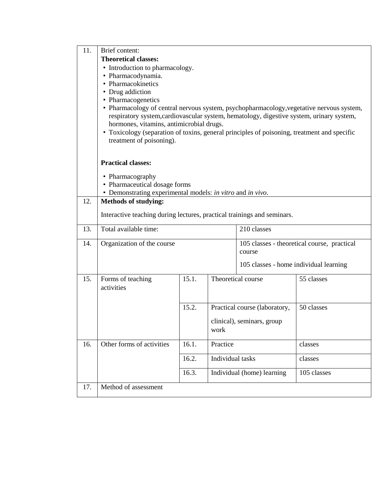| 11. | Brief content:                                                                              |       |                  |                                             |             |
|-----|---------------------------------------------------------------------------------------------|-------|------------------|---------------------------------------------|-------------|
|     | <b>Theoretical classes:</b>                                                                 |       |                  |                                             |             |
|     | • Introduction to pharmacology.                                                             |       |                  |                                             |             |
|     | • Pharmacodynamia.                                                                          |       |                  |                                             |             |
|     | • Pharmacokinetics                                                                          |       |                  |                                             |             |
|     | • Drug addiction                                                                            |       |                  |                                             |             |
|     | • Pharmacogenetics                                                                          |       |                  |                                             |             |
|     | • Pharmacology of central nervous system, psychopharmacology, vegetative nervous system,    |       |                  |                                             |             |
|     | respiratory system, cardiovascular system, hematology, digestive system, urinary system,    |       |                  |                                             |             |
|     | hormones, vitamins, antimicrobial drugs.                                                    |       |                  |                                             |             |
|     | • Toxicology (separation of toxins, general principles of poisoning, treatment and specific |       |                  |                                             |             |
|     | treatment of poisoning).                                                                    |       |                  |                                             |             |
|     |                                                                                             |       |                  |                                             |             |
|     | <b>Practical classes:</b>                                                                   |       |                  |                                             |             |
|     |                                                                                             |       |                  |                                             |             |
|     | • Pharmacography                                                                            |       |                  |                                             |             |
|     | • Pharmaceutical dosage forms                                                               |       |                  |                                             |             |
|     | • Demonstrating experimental models: in vitro and in vivo.                                  |       |                  |                                             |             |
| 12. | <b>Methods of studying:</b>                                                                 |       |                  |                                             |             |
|     | Interactive teaching during lectures, practical trainings and seminars.                     |       |                  |                                             |             |
|     |                                                                                             |       |                  |                                             |             |
| 13. | Total available time:                                                                       |       |                  | 210 classes                                 |             |
| 14. | Organization of the course                                                                  |       |                  | 105 classes - theoretical course, practical |             |
|     |                                                                                             |       |                  | course                                      |             |
|     |                                                                                             |       |                  | 105 classes - home individual learning      |             |
|     |                                                                                             |       |                  |                                             |             |
| 15. | Forms of teaching                                                                           | 15.1. |                  | Theoretical course                          | 55 classes  |
|     | activities                                                                                  |       |                  |                                             |             |
|     |                                                                                             |       |                  |                                             |             |
|     |                                                                                             | 15.2. |                  | Practical course (laboratory,               | 50 classes  |
|     |                                                                                             |       |                  |                                             |             |
|     |                                                                                             |       |                  | clinical), seminars, group                  |             |
|     |                                                                                             |       | work             |                                             |             |
| 16. | Other forms of activities                                                                   | 16.1. | Practice         |                                             | classes     |
|     |                                                                                             | 16.2. | Individual tasks |                                             | classes     |
|     |                                                                                             |       |                  |                                             |             |
|     |                                                                                             | 16.3. |                  | Individual (home) learning                  | 105 classes |
| 17. | Method of assessment                                                                        |       |                  |                                             |             |
|     |                                                                                             |       |                  |                                             |             |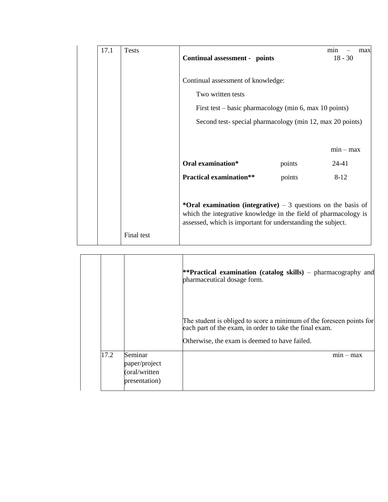| 17.1 | <b>Tests</b> | Continual assessment - points                                                                                                                                                                    |        | min<br>max<br>$18 - 30$ |  |  |  |
|------|--------------|--------------------------------------------------------------------------------------------------------------------------------------------------------------------------------------------------|--------|-------------------------|--|--|--|
|      |              | Continual assessment of knowledge:<br>Two written tests<br>First test – basic pharmacology (min 6, max 10 points)<br>Second test-special pharmacology (min 12, max 20 points)                    |        |                         |  |  |  |
|      |              | Oral examination*                                                                                                                                                                                | points | $min - max$<br>24-41    |  |  |  |
|      |              | <b>Practical examination**</b>                                                                                                                                                                   | points | $8 - 12$                |  |  |  |
|      | Final test   | *Oral examination (integrative) $-3$ questions on the basis of<br>which the integrative knowledge in the field of pharmacology is<br>assessed, which is important for understanding the subject. |        |                         |  |  |  |

|      |                                                            | **Practical examination (catalog skills) – pharmacography and<br>pharmaceutical dosage form.                                                                                     |
|------|------------------------------------------------------------|----------------------------------------------------------------------------------------------------------------------------------------------------------------------------------|
|      |                                                            | The student is obliged to score a minimum of the foreseen points for<br>each part of the exam, in order to take the final exam.<br>Otherwise, the exam is deemed to have failed. |
| 17.2 | Seminar<br>paper/project<br>(oral/written<br>presentation) | $mn - max$                                                                                                                                                                       |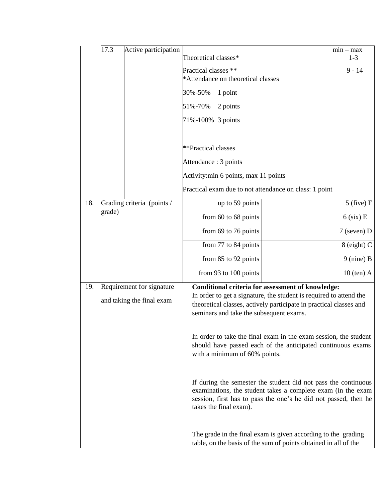|     | 17.3   | Active participation                                   |                                                                                                                                                                                                                                          |  | $min - max$    |
|-----|--------|--------------------------------------------------------|------------------------------------------------------------------------------------------------------------------------------------------------------------------------------------------------------------------------------------------|--|----------------|
|     |        |                                                        | Theoretical classes*                                                                                                                                                                                                                     |  | $1 - 3$        |
|     |        |                                                        | Practical classes **<br>*Attendance on theoretical classes                                                                                                                                                                               |  | $9 - 14$       |
|     |        |                                                        | 30%-50%<br>1 point                                                                                                                                                                                                                       |  |                |
|     |        |                                                        | 51%-70%<br>2 points                                                                                                                                                                                                                      |  |                |
|     |        |                                                        | 71%-100% 3 points                                                                                                                                                                                                                        |  |                |
|     |        |                                                        |                                                                                                                                                                                                                                          |  |                |
|     |        |                                                        | **Practical classes                                                                                                                                                                                                                      |  |                |
|     |        |                                                        | Attendance : 3 points                                                                                                                                                                                                                    |  |                |
|     |        |                                                        | Activity: min 6 points, max 11 points                                                                                                                                                                                                    |  |                |
|     |        |                                                        | Practical exam due to not attendance on class: 1 point                                                                                                                                                                                   |  |                |
| 18. |        | Grading criteria (points /                             | up to 59 points                                                                                                                                                                                                                          |  | $5$ (five) $F$ |
|     | grade) |                                                        | from 60 to 68 points                                                                                                                                                                                                                     |  | $6$ (six) E    |
|     |        |                                                        | from 69 to 76 points                                                                                                                                                                                                                     |  | 7 (seven) D    |
|     |        |                                                        | from 77 to 84 points                                                                                                                                                                                                                     |  | $8$ (eight) C  |
|     |        |                                                        | from 85 to 92 points                                                                                                                                                                                                                     |  | $9$ (nine) B   |
|     |        |                                                        | from 93 to 100 points                                                                                                                                                                                                                    |  | $10$ (ten) A   |
| 19. |        | Requirement for signature<br>and taking the final exam | Conditional criteria for assessment of knowledge:<br>In order to get a signature, the student is required to attend the<br>theoretical classes, actively participate in practical classes and<br>seminars and take the subsequent exams. |  |                |
|     |        |                                                        | In order to take the final exam in the exam session, the student<br>should have passed each of the anticipated continuous exams<br>with a minimum of 60% points.                                                                         |  |                |
|     |        |                                                        | If during the semester the student did not pass the continuous<br>examinations, the student takes a complete exam (in the exam<br>session, first has to pass the one's he did not passed, then he<br>takes the final exam).              |  |                |
|     |        |                                                        | The grade in the final exam is given according to the grading<br>table, on the basis of the sum of points obtained in all of the                                                                                                         |  |                |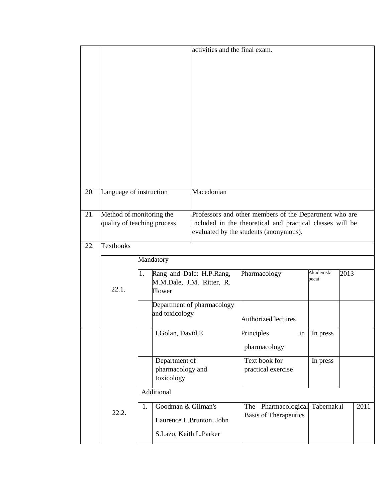|                         |                                                         | activities and the final exam.                                                                                                                                  |  |  |
|-------------------------|---------------------------------------------------------|-----------------------------------------------------------------------------------------------------------------------------------------------------------------|--|--|
| 20.                     | Language of instruction                                 | Macedonian                                                                                                                                                      |  |  |
| 21.                     | Method of monitoring the<br>quality of teaching process | Professors and other members of the Department who are<br>included in the theoretical and practical classes will be<br>evaluated by the students (anonymous).   |  |  |
| <b>Textbooks</b><br>22. |                                                         |                                                                                                                                                                 |  |  |
|                         | 22.1.                                                   | Mandatory<br>Akademski<br>Rang and Dale: H.P.Rang,<br>1.<br>Pharmacology<br>2013<br>pecat<br>M.M.Dale, J.M. Ritter, R.<br>Flower<br>Department of pharmacology  |  |  |
|                         |                                                         | and toxicology<br>Authorized lectures                                                                                                                           |  |  |
|                         |                                                         | I.Golan, David E<br>Principles<br>In press<br>in<br>pharmacology                                                                                                |  |  |
|                         |                                                         | Text book for<br>Department of<br>In press<br>pharmacology and<br>practical exercise<br>toxicology                                                              |  |  |
|                         |                                                         | Additional                                                                                                                                                      |  |  |
|                         | 22.2.                                                   | Goodman & Gilman's<br>Pharmacological<br>Tabernak ıl<br>2011<br>1.<br>The<br><b>Basis of Therapeutics</b><br>Laurence L.Brunton, John<br>S.Lazo, Keith L.Parker |  |  |